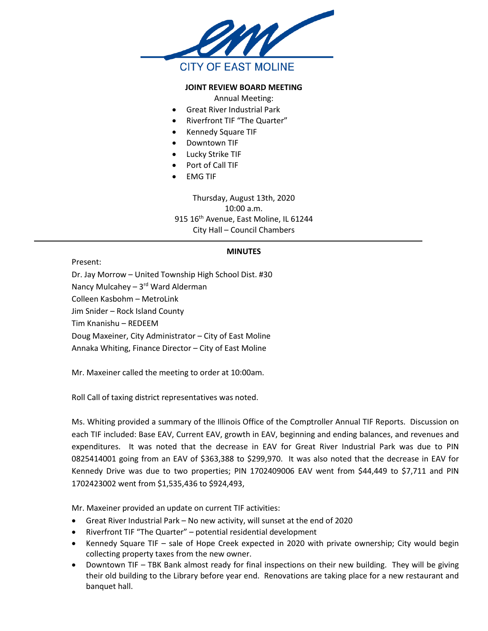

## **JOINT REVIEW BOARD MEETING**

Annual Meeting:

- Great River Industrial Park
- Riverfront TIF "The Quarter"
- Kennedy Square TIF
- Downtown TIF
- Lucky Strike TIF
- Port of Call TIF
- EMG TIF

Thursday, August 13th, 2020 10:00 a.m. 915 16<sup>th</sup> Avenue, East Moline, IL 61244 City Hall – Council Chambers

## **MINUTES**

Present:

Dr. Jay Morrow – United Township High School Dist. #30 Nancy Mulcahey - 3rd Ward Alderman Colleen Kasbohm – MetroLink Jim Snider – Rock Island County Tim Knanishu – REDEEM Doug Maxeiner, City Administrator – City of East Moline Annaka Whiting, Finance Director – City of East Moline

Mr. Maxeiner called the meeting to order at 10:00am.

Roll Call of taxing district representatives was noted.

Ms. Whiting provided a summary of the Illinois Office of the Comptroller Annual TIF Reports. Discussion on each TIF included: Base EAV, Current EAV, growth in EAV, beginning and ending balances, and revenues and expenditures. It was noted that the decrease in EAV for Great River Industrial Park was due to PIN 0825414001 going from an EAV of \$363,388 to \$299,970. It was also noted that the decrease in EAV for Kennedy Drive was due to two properties; PIN 1702409006 EAV went from \$44,449 to \$7,711 and PIN 1702423002 went from \$1,535,436 to \$924,493,

Mr. Maxeiner provided an update on current TIF activities:

- Great River Industrial Park No new activity, will sunset at the end of 2020
- Riverfront TIF "The Quarter" potential residential development
- Kennedy Square TIF sale of Hope Creek expected in 2020 with private ownership; City would begin collecting property taxes from the new owner.
- Downtown TIF TBK Bank almost ready for final inspections on their new building. They will be giving their old building to the Library before year end. Renovations are taking place for a new restaurant and banquet hall.